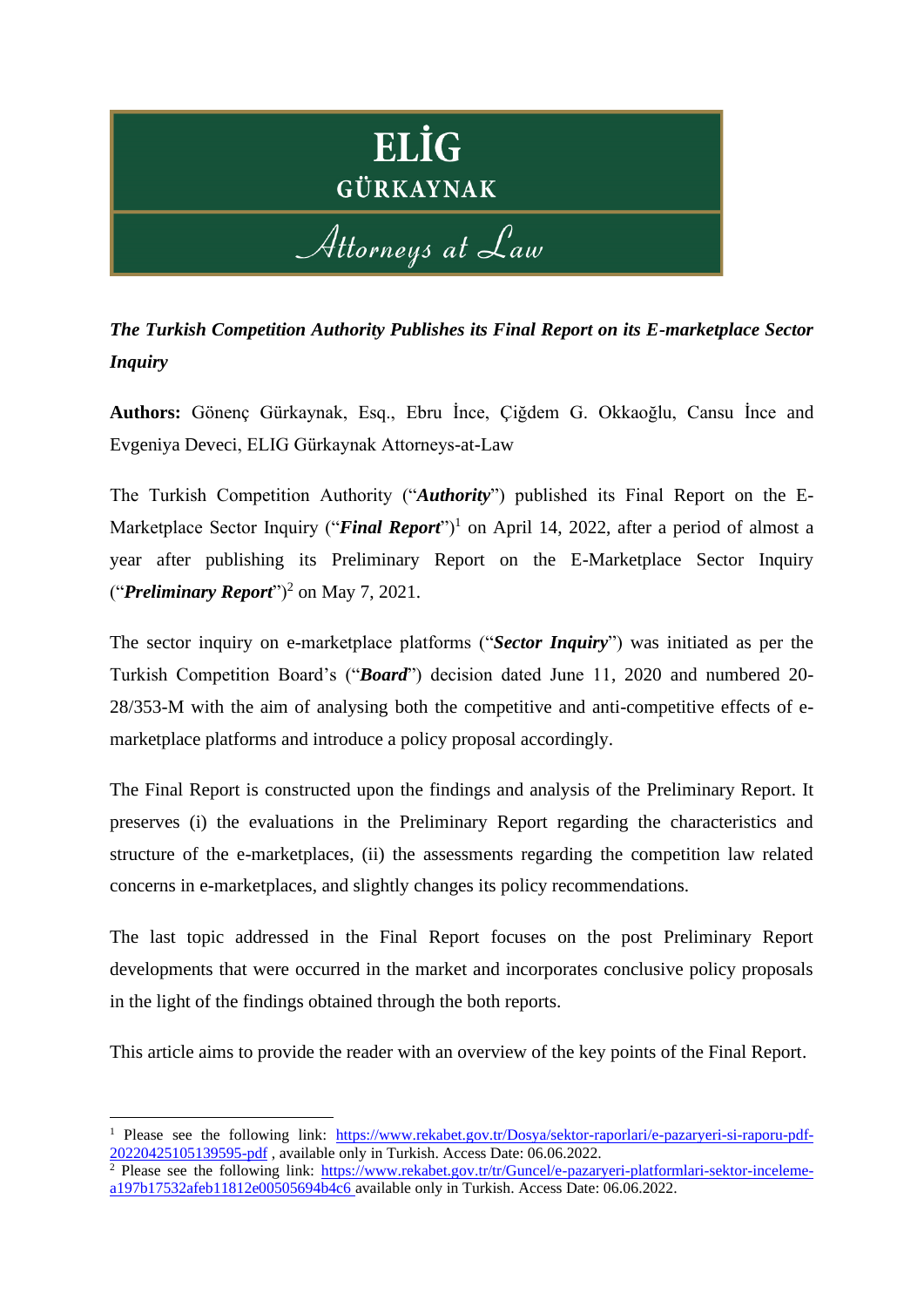

*The Turkish Competition Authority Publishes its Final Report on its E-marketplace Sector Inquiry*

**Authors:** Gönenç Gürkaynak, Esq., Ebru İnce, Çiğdem G. Okkaoğlu, Cansu İnce and Evgeniya Deveci, ELIG Gürkaynak Attorneys-at-Law

The Turkish Competition Authority ("*Authority*") published its Final Report on the E-Marketplace Sector Inquiry ("*Final Report*")<sup>1</sup> on April 14, 2022, after a period of almost a year after publishing its Preliminary Report on the E-Marketplace Sector Inquiry ("*Preliminary Report*")<sup>2</sup> on May 7, 2021.

The sector inquiry on e-marketplace platforms ("*Sector Inquiry*") was initiated as per the Turkish Competition Board's ("*Board*") decision dated June 11, 2020 and numbered 20- 28/353-M with the aim of analysing both the competitive and anti-competitive effects of emarketplace platforms and introduce a policy proposal accordingly.

The Final Report is constructed upon the findings and analysis of the Preliminary Report. It preserves (i) the evaluations in the Preliminary Report regarding the characteristics and structure of the e-marketplaces, (ii) the assessments regarding the competition law related concerns in e-marketplaces, and slightly changes its policy recommendations.

The last topic addressed in the Final Report focuses on the post Preliminary Report developments that were occurred in the market and incorporates conclusive policy proposals in the light of the findings obtained through the both reports.

This article aims to provide the reader with an overview of the key points of the Final Report.

<sup>1</sup> Please see the following link: [https://www.rekabet.gov.tr/Dosya/sektor-raporlari/e-pazaryeri-si-raporu-pdf-](https://www.rekabet.gov.tr/Dosya/sektor-raporlari/e-pazaryeri-si-raporu-pdf-20220425105139595-pdf)[20220425105139595-pdf](https://www.rekabet.gov.tr/Dosya/sektor-raporlari/e-pazaryeri-si-raporu-pdf-20220425105139595-pdf) , available only in Turkish. Access Date: 06.06.2022.

 $\frac{2}{\pi}$  Please see the following link: [https://www.rekabet.gov.tr/tr/Guncel/e-pazaryeri-platformlari-sektor-inceleme](https://www.rekabet.gov.tr/tr/Guncel/e-pazaryeri-platformlari-sektor-inceleme-a197b17532afeb11812e00505694b4c6)[a197b17532afeb11812e00505694b4c6](https://www.rekabet.gov.tr/tr/Guncel/e-pazaryeri-platformlari-sektor-inceleme-a197b17532afeb11812e00505694b4c6) available only in Turkish. Access Date: 06.06.2022.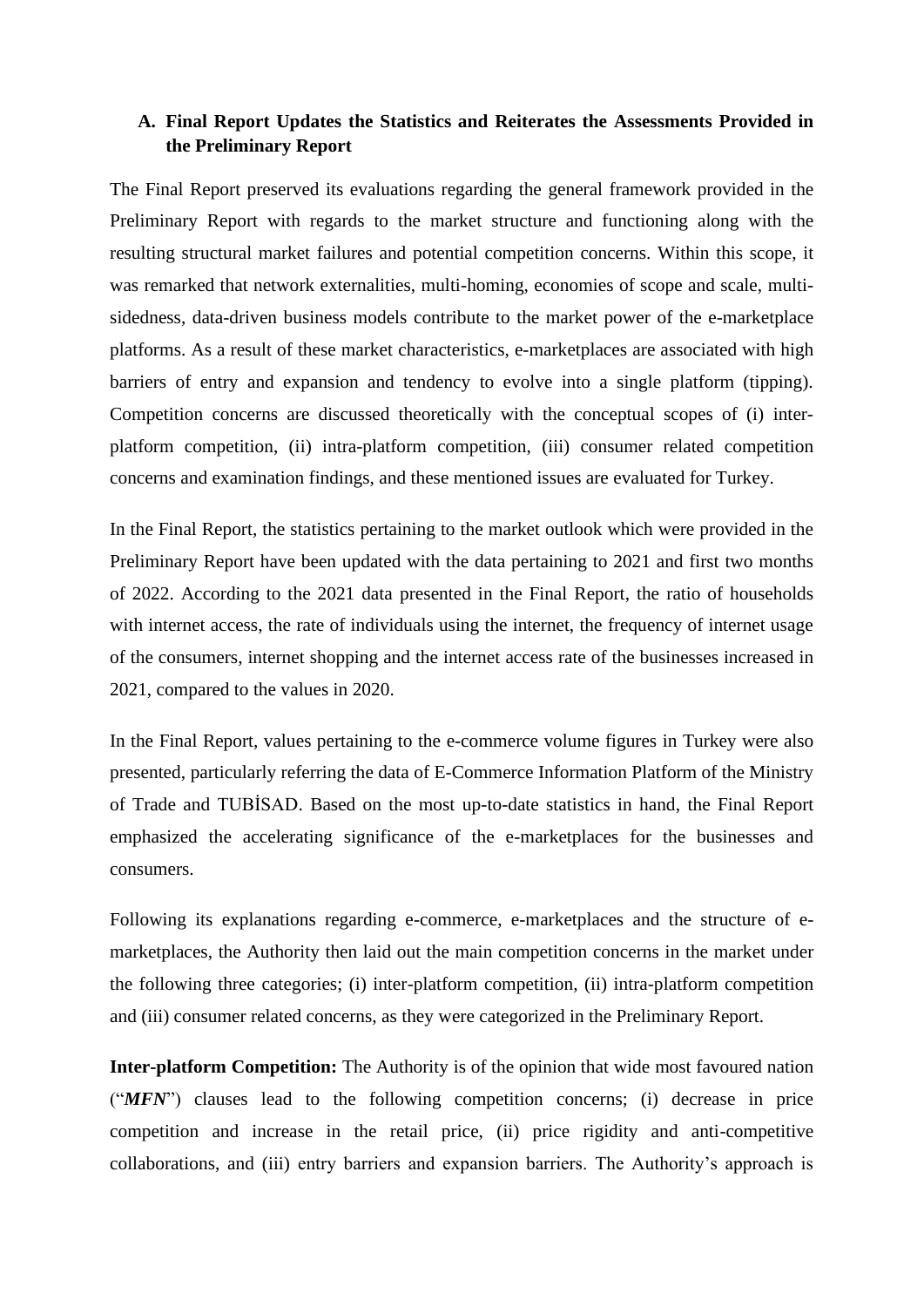## **A. Final Report Updates the Statistics and Reiterates the Assessments Provided in the Preliminary Report**

The Final Report preserved its evaluations regarding the general framework provided in the Preliminary Report with regards to the market structure and functioning along with the resulting structural market failures and potential competition concerns. Within this scope, it was remarked that network externalities, multi-homing, economies of scope and scale, multisidedness, data-driven business models contribute to the market power of the e-marketplace platforms. As a result of these market characteristics, e-marketplaces are associated with high barriers of entry and expansion and tendency to evolve into a single platform (tipping). Competition concerns are discussed theoretically with the conceptual scopes of (i) interplatform competition, (ii) intra-platform competition, (iii) consumer related competition concerns and examination findings, and these mentioned issues are evaluated for Turkey.

In the Final Report, the statistics pertaining to the market outlook which were provided in the Preliminary Report have been updated with the data pertaining to 2021 and first two months of 2022. According to the 2021 data presented in the Final Report, the ratio of households with internet access, the rate of individuals using the internet, the frequency of internet usage of the consumers, internet shopping and the internet access rate of the businesses increased in 2021, compared to the values in 2020.

In the Final Report, values pertaining to the e-commerce volume figures in Turkey were also presented, particularly referring the data of E-Commerce Information Platform of the Ministry of Trade and TUBİSAD. Based on the most up-to-date statistics in hand, the Final Report emphasized the accelerating significance of the e-marketplaces for the businesses and consumers.

Following its explanations regarding e-commerce, e-marketplaces and the structure of emarketplaces, the Authority then laid out the main competition concerns in the market under the following three categories; (i) inter-platform competition, (ii) intra-platform competition and (iii) consumer related concerns, as they were categorized in the Preliminary Report.

**Inter-platform Competition:** The Authority is of the opinion that wide most favoured nation ("*MFN*") clauses lead to the following competition concerns; (i) decrease in price competition and increase in the retail price, (ii) price rigidity and anti-competitive collaborations, and (iii) entry barriers and expansion barriers. The Authority's approach is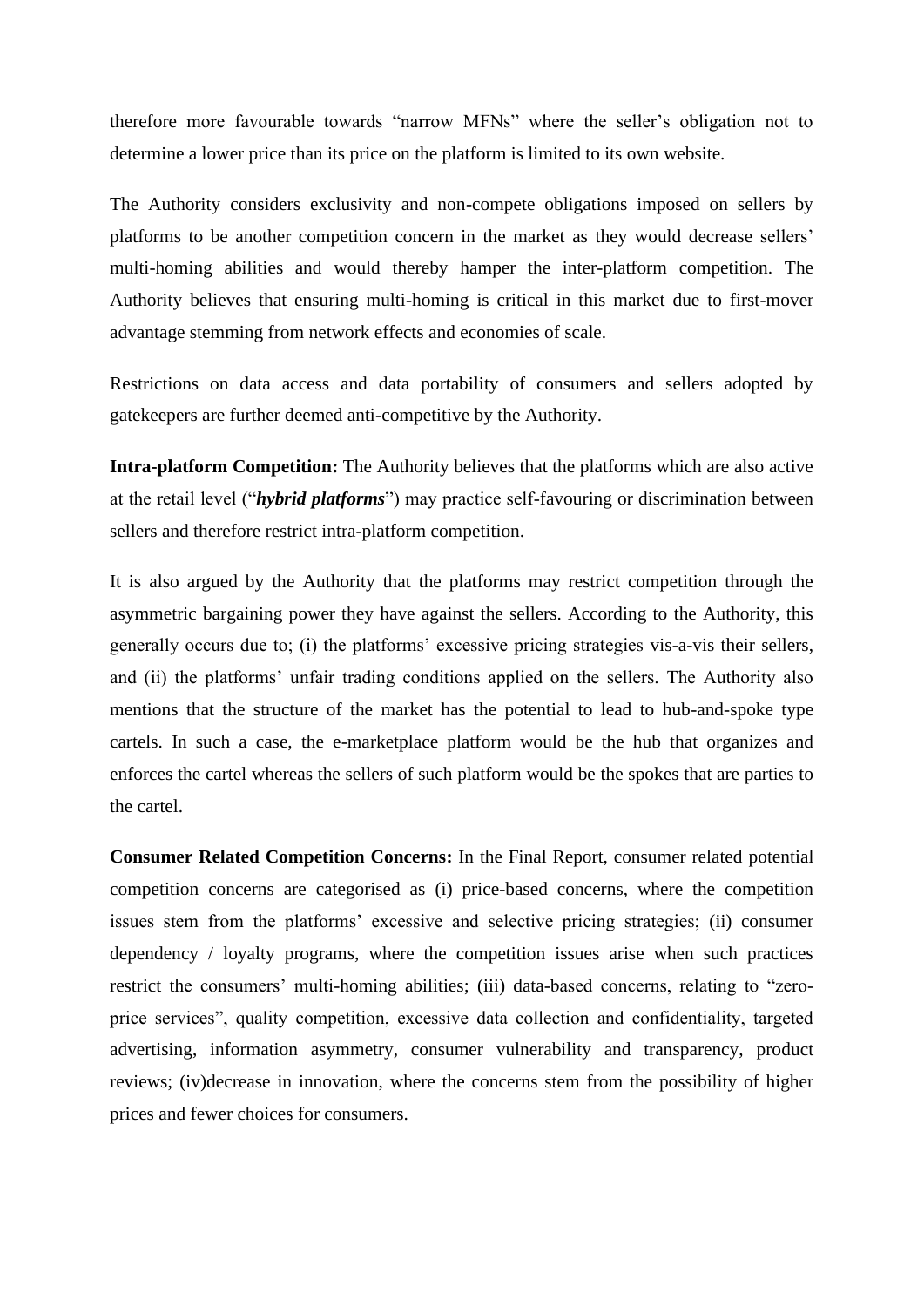therefore more favourable towards "narrow MFNs" where the seller's obligation not to determine a lower price than its price on the platform is limited to its own website.

The Authority considers exclusivity and non-compete obligations imposed on sellers by platforms to be another competition concern in the market as they would decrease sellers' multi-homing abilities and would thereby hamper the inter-platform competition. The Authority believes that ensuring multi-homing is critical in this market due to first-mover advantage stemming from network effects and economies of scale.

Restrictions on data access and data portability of consumers and sellers adopted by gatekeepers are further deemed anti-competitive by the Authority.

**Intra-platform Competition:** The Authority believes that the platforms which are also active at the retail level ("*hybrid platforms*") may practice self-favouring or discrimination between sellers and therefore restrict intra-platform competition.

It is also argued by the Authority that the platforms may restrict competition through the asymmetric bargaining power they have against the sellers. According to the Authority, this generally occurs due to; (i) the platforms' excessive pricing strategies vis-a-vis their sellers, and (ii) the platforms' unfair trading conditions applied on the sellers. The Authority also mentions that the structure of the market has the potential to lead to hub-and-spoke type cartels. In such a case, the e-marketplace platform would be the hub that organizes and enforces the cartel whereas the sellers of such platform would be the spokes that are parties to the cartel.

**Consumer Related Competition Concerns:** In the Final Report, consumer related potential competition concerns are categorised as (i) price-based concerns, where the competition issues stem from the platforms' excessive and selective pricing strategies; (ii) consumer dependency / loyalty programs, where the competition issues arise when such practices restrict the consumers' multi-homing abilities; (iii) data-based concerns, relating to "zeroprice services", quality competition, excessive data collection and confidentiality, targeted advertising, information asymmetry, consumer vulnerability and transparency, product reviews; (iv)decrease in innovation, where the concerns stem from the possibility of higher prices and fewer choices for consumers.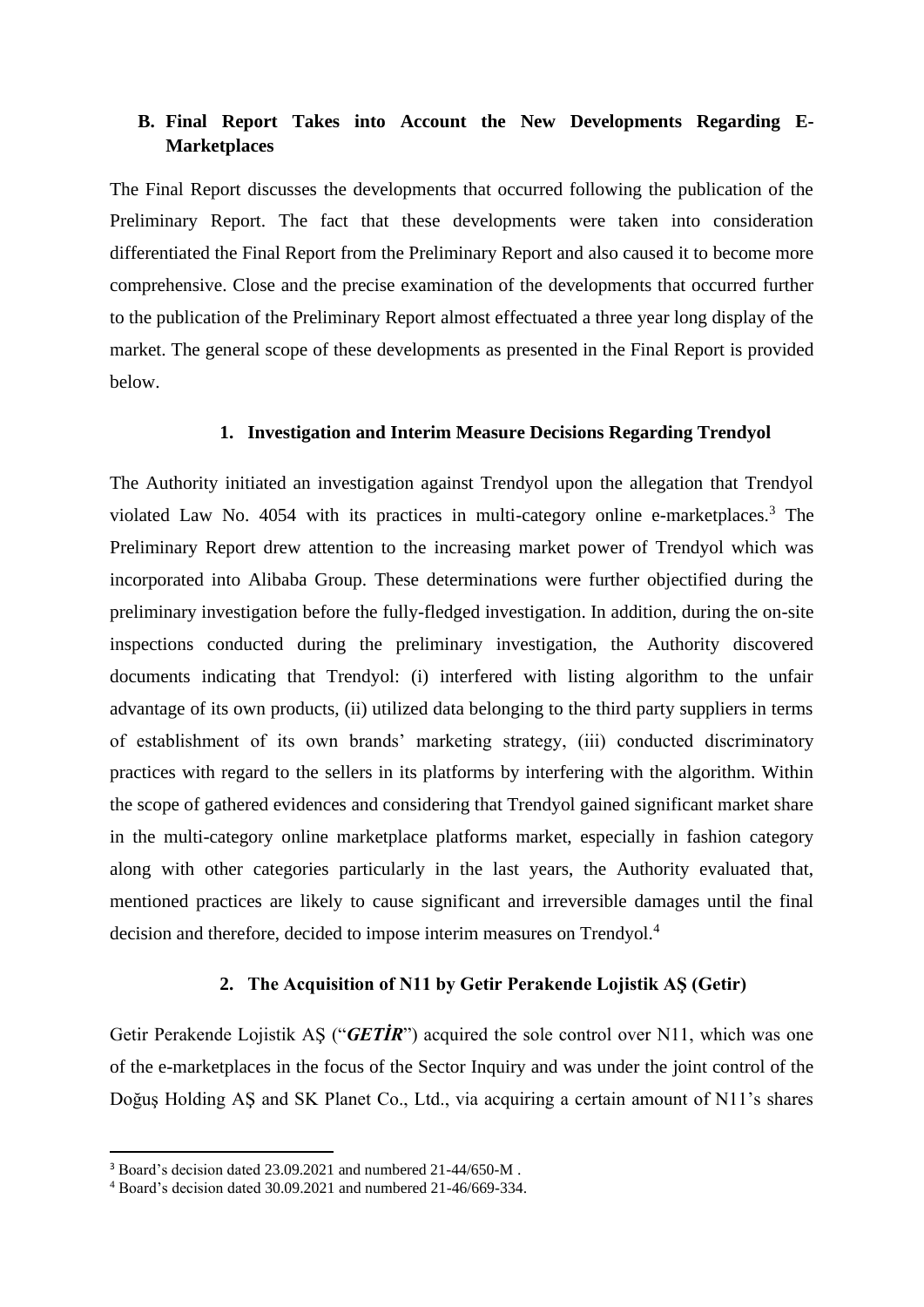# **B. Final Report Takes into Account the New Developments Regarding E-Marketplaces**

The Final Report discusses the developments that occurred following the publication of the Preliminary Report. The fact that these developments were taken into consideration differentiated the Final Report from the Preliminary Report and also caused it to become more comprehensive. Close and the precise examination of the developments that occurred further to the publication of the Preliminary Report almost effectuated a three year long display of the market. The general scope of these developments as presented in the Final Report is provided below.

#### **1. Investigation and Interim Measure Decisions Regarding Trendyol**

The Authority initiated an investigation against Trendyol upon the allegation that Trendyol violated Law No. 4054 with its practices in multi-category online e-marketplaces.<sup>3</sup> The Preliminary Report drew attention to the increasing market power of Trendyol which was incorporated into Alibaba Group. These determinations were further objectified during the preliminary investigation before the fully-fledged investigation. In addition, during the on-site inspections conducted during the preliminary investigation, the Authority discovered documents indicating that Trendyol: (i) interfered with listing algorithm to the unfair advantage of its own products, (ii) utilized data belonging to the third party suppliers in terms of establishment of its own brands' marketing strategy, (iii) conducted discriminatory practices with regard to the sellers in its platforms by interfering with the algorithm. Within the scope of gathered evidences and considering that Trendyol gained significant market share in the multi-category online marketplace platforms market, especially in fashion category along with other categories particularly in the last years, the Authority evaluated that, mentioned practices are likely to cause significant and irreversible damages until the final decision and therefore, decided to impose interim measures on Trendyol.<sup>4</sup>

#### **2. The Acquisition of N11 by Getir Perakende Lojistik AŞ (Getir)**

Getir Perakende Lojistik AŞ ("*GETİR*") acquired the sole control over N11, which was one of the e-marketplaces in the focus of the Sector Inquiry and was under the joint control of the Doğuş Holding AŞ and SK Planet Co., Ltd., via acquiring a certain amount of N11's shares

<sup>&</sup>lt;sup>3</sup> Board's decision dated 23.09.2021 and numbered 21-44/650-M.

<sup>4</sup> Board's decision dated 30.09.2021 and numbered 21-46/669-334.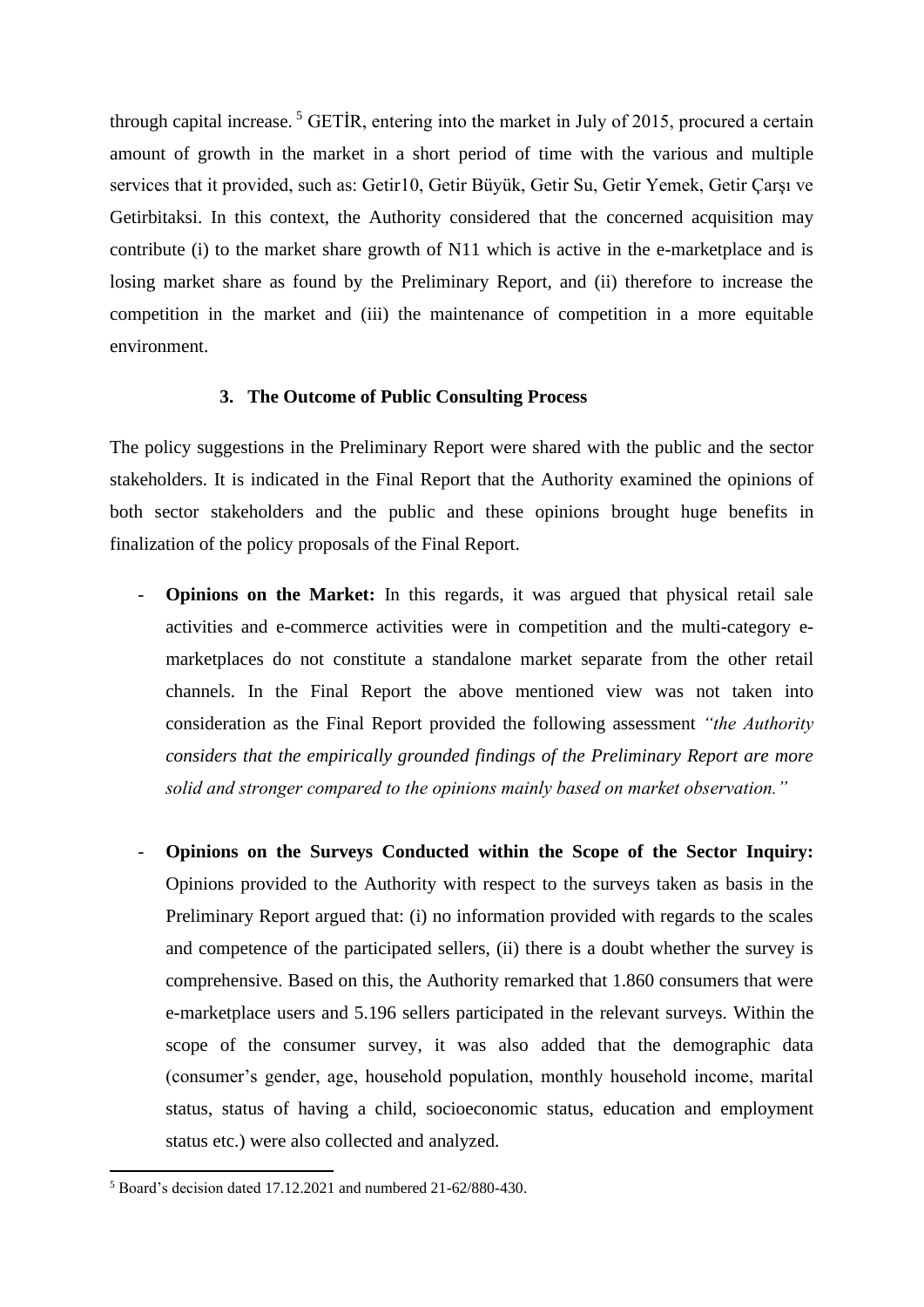through capital increase.<sup>5</sup> GETIR, entering into the market in July of 2015, procured a certain amount of growth in the market in a short period of time with the various and multiple services that it provided, such as: Getir10, Getir Büyük, Getir Su, Getir Yemek, Getir Çarşı ve Getirbitaksi. In this context, the Authority considered that the concerned acquisition may contribute (i) to the market share growth of N11 which is active in the e-marketplace and is losing market share as found by the Preliminary Report, and (ii) therefore to increase the competition in the market and (iii) the maintenance of competition in a more equitable environment.

#### **3. The Outcome of Public Consulting Process**

The policy suggestions in the Preliminary Report were shared with the public and the sector stakeholders. It is indicated in the Final Report that the Authority examined the opinions of both sector stakeholders and the public and these opinions brought huge benefits in finalization of the policy proposals of the Final Report.

- **Opinions on the Market:** In this regards, it was argued that physical retail sale activities and e-commerce activities were in competition and the multi-category emarketplaces do not constitute a standalone market separate from the other retail channels. In the Final Report the above mentioned view was not taken into consideration as the Final Report provided the following assessment *"the Authority considers that the empirically grounded findings of the Preliminary Report are more solid and stronger compared to the opinions mainly based on market observation."*
- **Opinions on the Surveys Conducted within the Scope of the Sector Inquiry:** Opinions provided to the Authority with respect to the surveys taken as basis in the Preliminary Report argued that: (i) no information provided with regards to the scales and competence of the participated sellers, (ii) there is a doubt whether the survey is comprehensive. Based on this, the Authority remarked that 1.860 consumers that were e-marketplace users and 5.196 sellers participated in the relevant surveys. Within the scope of the consumer survey, it was also added that the demographic data (consumer's gender, age, household population, monthly household income, marital status, status of having a child, socioeconomic status, education and employment status etc.) were also collected and analyzed.

<sup>5</sup> Board's decision dated 17.12.2021 and numbered 21-62/880-430.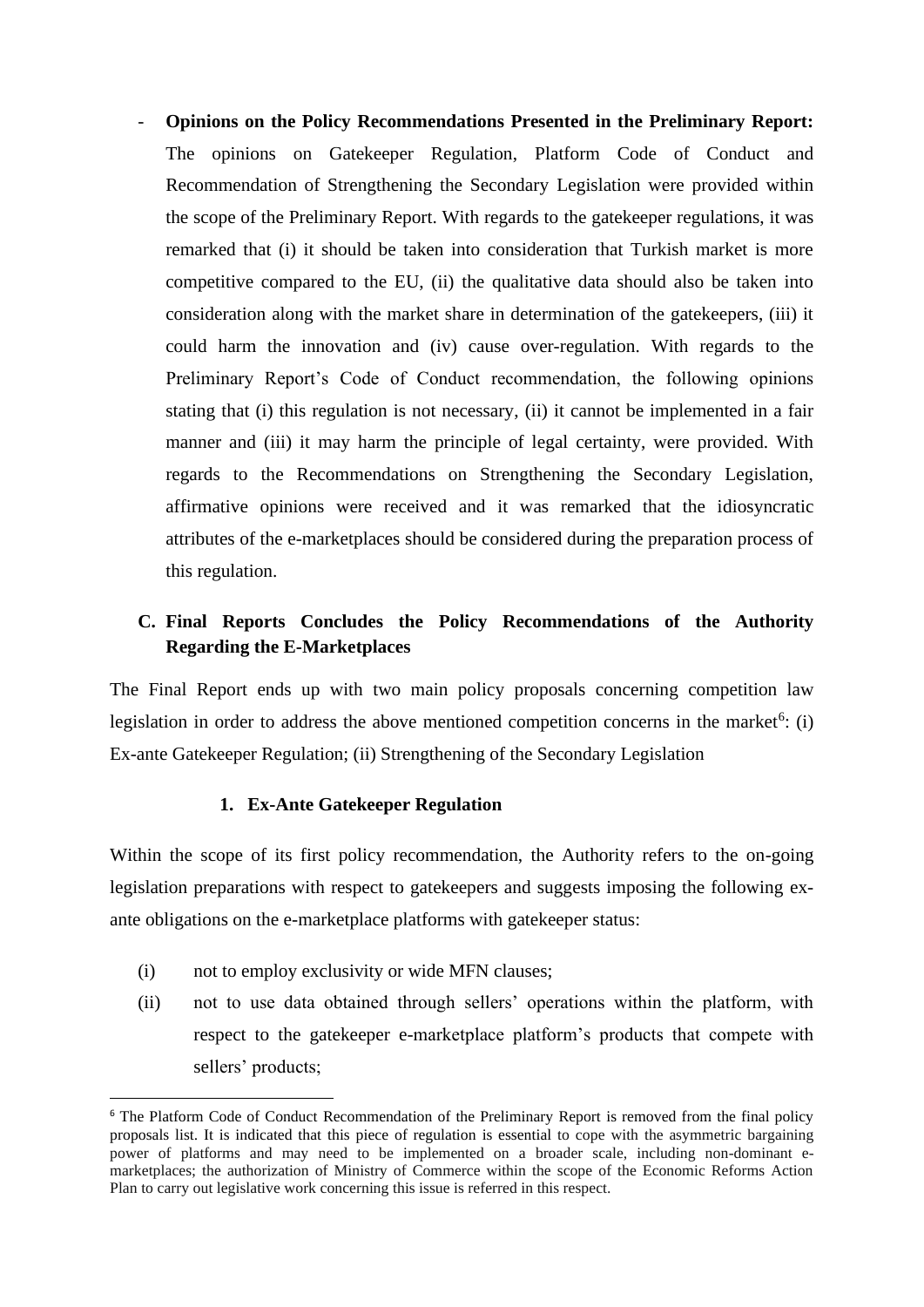- **Opinions on the Policy Recommendations Presented in the Preliminary Report:**  The opinions on Gatekeeper Regulation, Platform Code of Conduct and Recommendation of Strengthening the Secondary Legislation were provided within the scope of the Preliminary Report. With regards to the gatekeeper regulations, it was remarked that (i) it should be taken into consideration that Turkish market is more competitive compared to the EU, (ii) the qualitative data should also be taken into consideration along with the market share in determination of the gatekeepers, (iii) it could harm the innovation and (iv) cause over-regulation. With regards to the Preliminary Report's Code of Conduct recommendation, the following opinions stating that (i) this regulation is not necessary, (ii) it cannot be implemented in a fair manner and (iii) it may harm the principle of legal certainty, were provided. With regards to the Recommendations on Strengthening the Secondary Legislation, affirmative opinions were received and it was remarked that the idiosyncratic attributes of the e-marketplaces should be considered during the preparation process of this regulation.

# **C. Final Reports Concludes the Policy Recommendations of the Authority Regarding the E-Marketplaces**

The Final Report ends up with two main policy proposals concerning competition law legislation in order to address the above mentioned competition concerns in the market<sup>6</sup>: (i) Ex-ante Gatekeeper Regulation; (ii) Strengthening of the Secondary Legislation

### **1. Ex-Ante Gatekeeper Regulation**

Within the scope of its first policy recommendation, the Authority refers to the on-going legislation preparations with respect to gatekeepers and suggests imposing the following exante obligations on the e-marketplace platforms with gatekeeper status:

- (i) not to employ exclusivity or wide MFN clauses;
- (ii) not to use data obtained through sellers' operations within the platform, with respect to the gatekeeper e-marketplace platform's products that compete with sellers' products;

<sup>&</sup>lt;sup>6</sup> The Platform Code of Conduct Recommendation of the Preliminary Report is removed from the final policy proposals list. It is indicated that this piece of regulation is essential to cope with the asymmetric bargaining power of platforms and may need to be implemented on a broader scale, including non-dominant emarketplaces; the authorization of Ministry of Commerce within the scope of the Economic Reforms Action Plan to carry out legislative work concerning this issue is referred in this respect.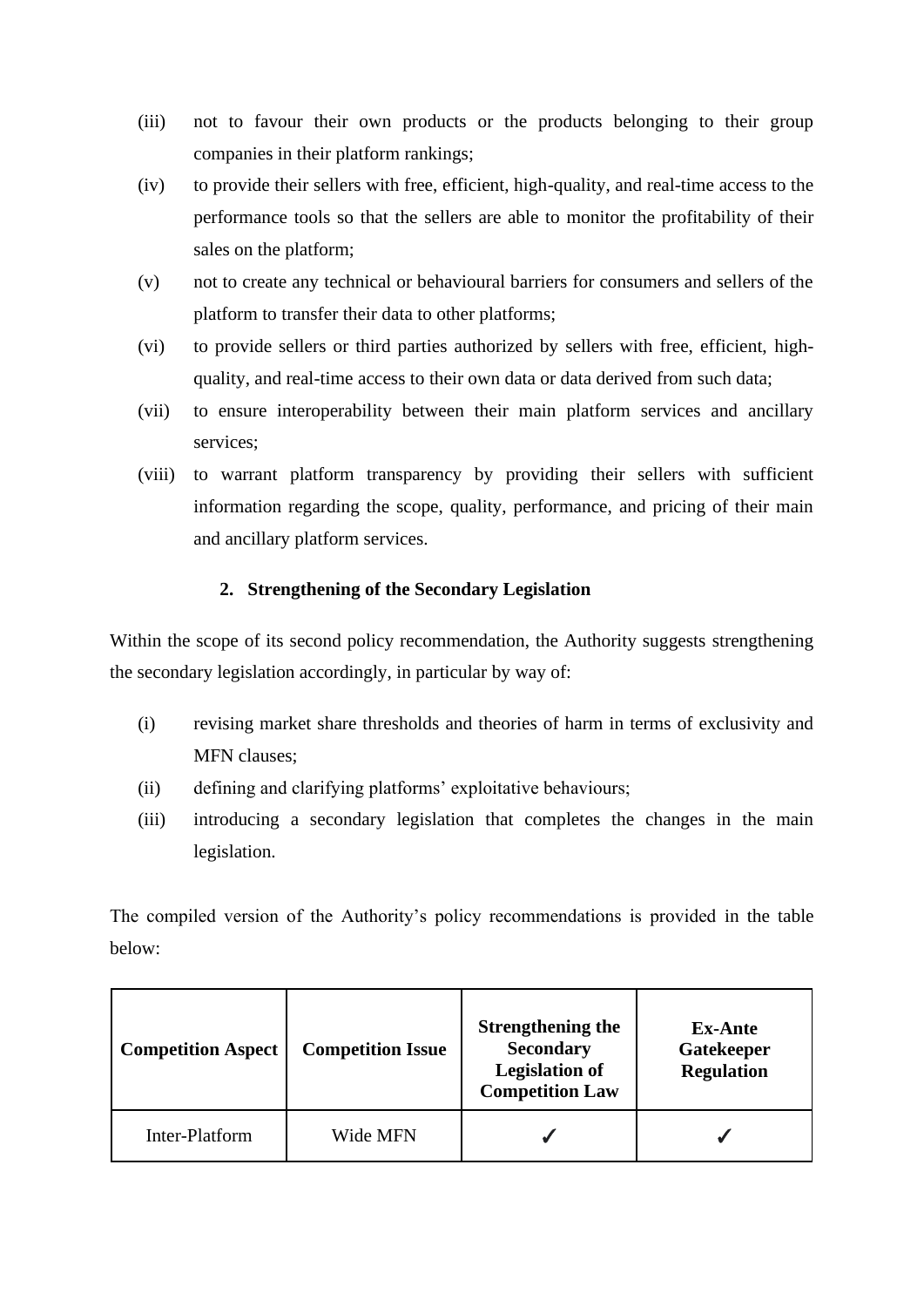- (iii) not to favour their own products or the products belonging to their group companies in their platform rankings;
- (iv) to provide their sellers with free, efficient, high-quality, and real-time access to the performance tools so that the sellers are able to monitor the profitability of their sales on the platform;
- (v) not to create any technical or behavioural barriers for consumers and sellers of the platform to transfer their data to other platforms;
- (vi) to provide sellers or third parties authorized by sellers with free, efficient, highquality, and real-time access to their own data or data derived from such data;
- (vii) to ensure interoperability between their main platform services and ancillary services;
- (viii) to warrant platform transparency by providing their sellers with sufficient information regarding the scope, quality, performance, and pricing of their main and ancillary platform services.

### **2. Strengthening of the Secondary Legislation**

Within the scope of its second policy recommendation, the Authority suggests strengthening the secondary legislation accordingly, in particular by way of:

- (i) revising market share thresholds and theories of harm in terms of exclusivity and MFN clauses;
- (ii) defining and clarifying platforms' exploitative behaviours;
- (iii) introducing a secondary legislation that completes the changes in the main legislation.

The compiled version of the Authority's policy recommendations is provided in the table below:

| <b>Competition Aspect</b> | <b>Competition Issue</b> | <b>Strengthening the</b><br><b>Secondary</b><br><b>Legislation of</b><br><b>Competition Law</b> | <b>Ex-Ante</b><br>Gatekeeper<br><b>Regulation</b> |
|---------------------------|--------------------------|-------------------------------------------------------------------------------------------------|---------------------------------------------------|
| Inter-Platform            | Wide MFN                 |                                                                                                 |                                                   |